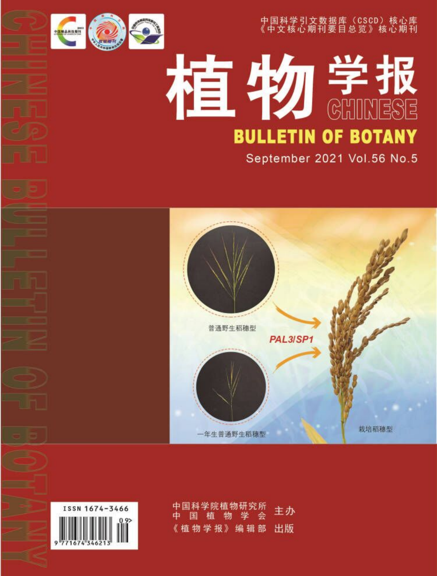

中国科学引文数据库 (CSCD) 核心库<br>《中文核心期刊要目总览》核心期刊

#### 植物<sup>学报</sup> **BULLETIN OF BOTANY** September 2021 Vol.56 No.5





主か 物学报》编辑  $R$ 出版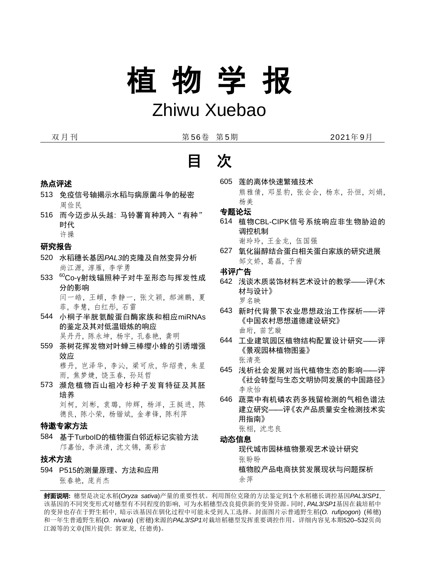# 植 物 学 报

## Zhiwu Xuebao

双月刊 第56卷 第5期 2021年9月



- 热点评述
- 513 免疫信号轴揭示水稻与病原菌斗争的秘密 周俭民
- 516 而今迈步从头越: 马铃薯育种跨入"有种" 时代
	- 许操

#### 研究报告

- 520 水稻穗长基因*PAL3*的克隆及自然变异分析 尚江源, 淳雁, 李学勇
- 533 <sup>60</sup>Co-γ射线辐照种子对牛至形态与挥发性成 分的影响 闫一皓, 王頔, 李静一, 张文颖, 郝渊鹏, 夏 菲, 李慧, 白红彤, 石雷
- 544 小桐子半胱氨酸蛋白酶家族和相应miRNAs 的鉴定及其对低温锻炼的响应

吴丹丹, 陈永坤, 杨宇, 孔春艳, 龚明

- 559 茶树花挥发物对叶蝉三棒缨小蜂的引诱增强 效应 穆丹, 岂泽华, 李沁, 梁可欣, 华绍贵, 朱星 雨, 焦梦婕, 饶玉春, 孙廷哲
- 573 濒危植物百山祖冷杉种子发育特征及其胚 培养 刘柯, 刘彬, 袁璐, 帅辉, 杨洋, 王挺进, 陈 德良, 陈小荣, 杨锴斌, 金孝锋, 陈利萍

#### 特邀专家方法

584 基于TurboID的植物蛋白邻近标记实验方法 邝嘉怡, 李洪清, 沈文锦, 高彩吉

#### 技术方法

594 P515的测量原理、方法和应用 张春艳, 庞肖杰

605 莲的离体快速繁殖技术 熊雅倩, 邓显豹, 张会会, 杨东, 孙恒, 刘娟, 杨美

#### 专题论坛

614 植物CBL-CIPK信号系统响应非生物胁迫的 调控机制

谢玲玲, 王金龙, 伍国强

627 氧化甾醇结合蛋白相关蛋白家族的研究进展 邹文娇, 葛磊, 予茜

书评广告

- 642 浅谈木质装饰材料艺术设计的教学——评《木 材与设计》 罗名映
- 643 新时代背景下农业思想政治工作探析——评 《中国农村思想道德建设研究》 曲珩, 苗艺璇
- 644 工业建筑园区植物结构配置设计研究——评 《景观园林植物图鉴》 张清亮
- 645 浅析社会发展对当代植物生态的影响——评 《社会转型与生态文明协同发展的中国路径》 李欣怡
- 646 蔬菜中有机磷农药多残留检测的气相色谱法 建立研究——评《农产品质量安全检测技术实 用指南》

张栩, 沈忠良

#### 动态信息

现代城市园林植物景观艺术设计研究 张盼盼 植物胶产品电商扶贫发展现状与问题探析

余萍

封面说明**:** 穗型是决定水稻(*Oryza sativa*)产量的重要性状。利用图位克隆的方法鉴定到1个水稻穗长调控基因*PAL3*/*SP1*, 该基因的不同突变形式对穗型有不同程度的影响, 可为水稻穗型改良提供新的变异资源。同时, *PAL3*/*SP1*基因在栽培稻中 的变异也存在于野生稻中, 暗示该基因在驯化过程中可能未受到人工选择。封面图片示普通野生稻(*O. rufipogon*) (稀穗) 和一年生普通野生稻(*O. nivara*) (密穗)来源的*PAL3*/*SP1*对栽培稻穗型发挥重要调控作用。详细内容见本期520–532页尚 江源等的文章(图片提供: 郭亚龙, 任德勇)。